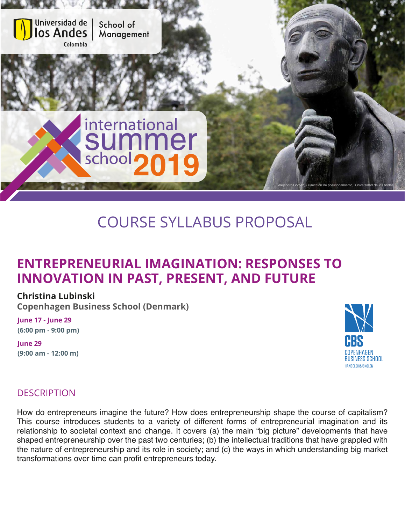

# COURSE SYLLABUS PROPOSAL

# **ENTREPRENEURIAL IMAGINATION: RESPONSES TO INNOVATION IN PAST, PRESENT, AND FUTURE**

#### **Christina Lubinski**

**Copenhagen Business School (Denmark)**

**June 17 - June 29 (6:00 pm - 9:00 pm)**

**June 29 (9:00 am - 12:00 m)**



# **DESCRIPTION**

How do entrepreneurs imagine the future? How does entrepreneurship shape the course of capitalism? This course introduces students to a variety of different forms of entrepreneurial imagination and its relationship to societal context and change. It covers (a) the main "big picture" developments that have shaped entrepreneurship over the past two centuries; (b) the intellectual traditions that have grappled with the nature of entrepreneurship and its role in society; and (c) the ways in which understanding big market transformations over time can profit entrepreneurs today.